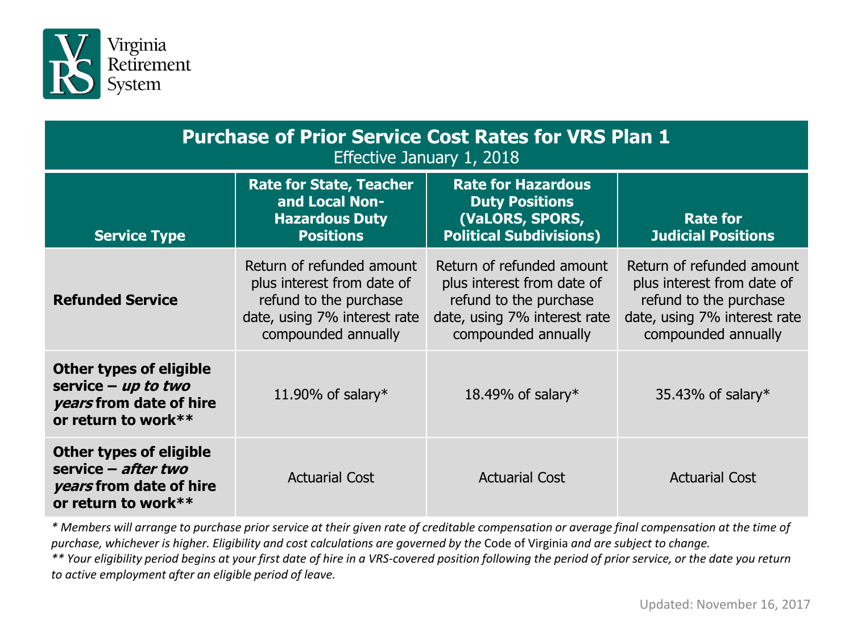

| <b>Purchase of Prior Service Cost Rates for VRS Plan 1</b><br>Effective January $1, 2018$                 |                                                                                                                                          |                                                                                                                                          |                                                                                                                                          |  |
|-----------------------------------------------------------------------------------------------------------|------------------------------------------------------------------------------------------------------------------------------------------|------------------------------------------------------------------------------------------------------------------------------------------|------------------------------------------------------------------------------------------------------------------------------------------|--|
| <b>Service Type</b>                                                                                       | <b>Rate for State, Teacher</b><br>and Local Non-<br><b>Hazardous Duty</b><br><b>Positions</b>                                            | <b>Rate for Hazardous</b><br><b>Duty Positions</b><br>(VaLORS, SPORS,<br><b>Political Subdivisions)</b>                                  | <b>Rate for</b><br><b>Judicial Positions</b>                                                                                             |  |
| <b>Refunded Service</b>                                                                                   | Return of refunded amount<br>plus interest from date of<br>refund to the purchase<br>date, using 7% interest rate<br>compounded annually | Return of refunded amount<br>plus interest from date of<br>refund to the purchase<br>date, using 7% interest rate<br>compounded annually | Return of refunded amount<br>plus interest from date of<br>refund to the purchase<br>date, using 7% interest rate<br>compounded annually |  |
| <b>Other types of eligible</b><br>service $-$ up to two<br>years from date of hire<br>or return to work** | 11.90% of salary*                                                                                                                        | 18.49% of salary*                                                                                                                        | 35.43% of salary $*$                                                                                                                     |  |
| <b>Other types of eligible</b><br>service – after two<br>years from date of hire<br>or return to work**   | <b>Actuarial Cost</b>                                                                                                                    | <b>Actuarial Cost</b>                                                                                                                    | <b>Actuarial Cost</b>                                                                                                                    |  |

*\* Members will arrange to purchase prior service at their given rate of creditable compensation or average final compensation at the time of purchase, whichever is higher. Eligibility and cost calculations are governed by the* Code of Virginia *and are subject to change.* 

*\*\* Your eligibility period begins at your first date of hire in a VRS-covered position following the period of prior service, or the date you return to active employment after an eligible period of leave.*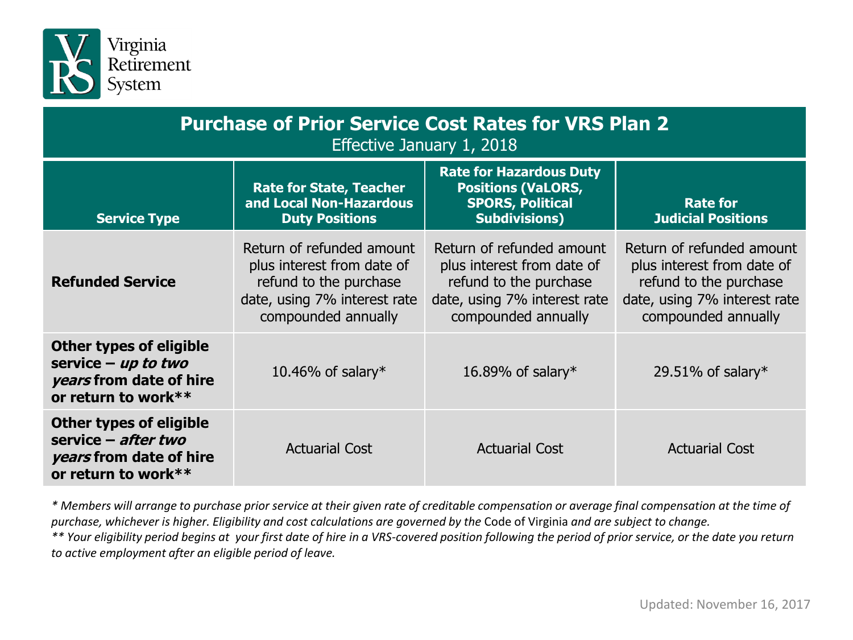

| <b>Purchase of Prior Service Cost Rates for VRS Plan 2</b><br>Effective January 1, 2018                   |                                                                                                                                          |                                                                                                                                          |                                                                                                                                          |  |
|-----------------------------------------------------------------------------------------------------------|------------------------------------------------------------------------------------------------------------------------------------------|------------------------------------------------------------------------------------------------------------------------------------------|------------------------------------------------------------------------------------------------------------------------------------------|--|
| <b>Service Type</b>                                                                                       | <b>Rate for State, Teacher</b><br>and Local Non-Hazardous<br><b>Duty Positions</b>                                                       | <b>Rate for Hazardous Duty</b><br><b>Positions (VaLORS,</b><br><b>SPORS, Political</b><br><b>Subdivisions)</b>                           | <b>Rate for</b><br><b>Judicial Positions</b>                                                                                             |  |
| <b>Refunded Service</b>                                                                                   | Return of refunded amount<br>plus interest from date of<br>refund to the purchase<br>date, using 7% interest rate<br>compounded annually | Return of refunded amount<br>plus interest from date of<br>refund to the purchase<br>date, using 7% interest rate<br>compounded annually | Return of refunded amount<br>plus interest from date of<br>refund to the purchase<br>date, using 7% interest rate<br>compounded annually |  |
| <b>Other types of eligible</b><br>service $-$ up to two<br>years from date of hire<br>or return to work** | 10.46% of salary*                                                                                                                        | 16.89% of salary*                                                                                                                        | 29.51% of salary*                                                                                                                        |  |
| <b>Other types of eligible</b><br>service $-$ after two<br>years from date of hire<br>or return to work** | <b>Actuarial Cost</b>                                                                                                                    | <b>Actuarial Cost</b>                                                                                                                    | <b>Actuarial Cost</b>                                                                                                                    |  |

*\* Members will arrange to purchase prior service at their given rate of creditable compensation or average final compensation at the time of purchase, whichever is higher. Eligibility and cost calculations are governed by the* Code of Virginia *and are subject to change.* 

*\*\* Your eligibility period begins at your first date of hire in a VRS-covered position following the period of prior service, or the date you return to active employment after an eligible period of leave.*